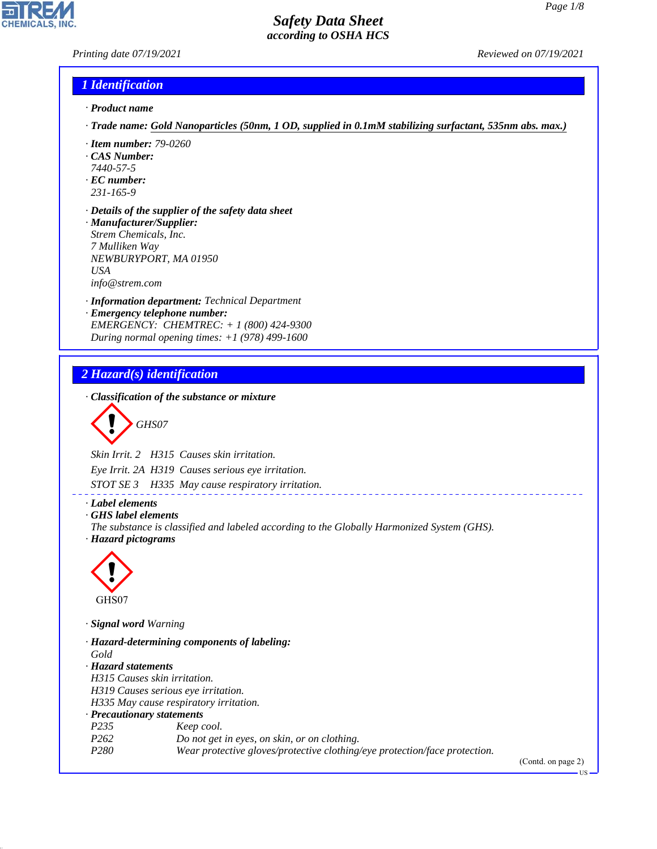## *Printing date 07/19/2021 Reviewed on 07/19/2021*

### *1 Identification*

- *· Product name*
- *· Trade name: Gold Nanoparticles (50nm, 1 OD, supplied in 0.1mM stabilizing surfactant, 535nm abs. max.)*
- *· Item number: 79-0260*
- *· CAS Number:*
- *7440-57-5*
- *· EC number: 231-165-9*
- 
- *· Details of the supplier of the safety data sheet · Manufacturer/Supplier: Strem Chemicals, Inc. 7 Mulliken Way NEWBURYPORT, MA 01950*
- *USA*

*info@strem.com*

- *· Information department: Technical Department*
- *· Emergency telephone number: EMERGENCY: CHEMTREC: + 1 (800) 424-9300 During normal opening times: +1 (978) 499-1600*

## *2 Hazard(s) identification*

*· Classification of the substance or mixture*

$$
\bigotimes \mathrm{GH}S07
$$

*Skin Irrit. 2 H315 Causes skin irritation.*

*Eye Irrit. 2A H319 Causes serious eye irritation.*

*STOT SE 3 H335 May cause respiratory irritation.*

- *· Label elements*
- *· GHS label elements*
- *The substance is classified and labeled according to the Globally Harmonized System (GHS). · Hazard pictograms*

\_\_\_\_\_\_\_\_\_\_\_\_\_\_\_\_\_\_\_



44.1.1

*· Signal word Warning*

*· Hazard-determining components of labeling: Gold · Hazard statements H315 Causes skin irritation. H319 Causes serious eye irritation. H335 May cause respiratory irritation. · Precautionary statements P235 Keep cool. P262 Do not get in eyes, on skin, or on clothing. P280 Wear protective gloves/protective clothing/eye protection/face protection.*

(Contd. on page 2)

US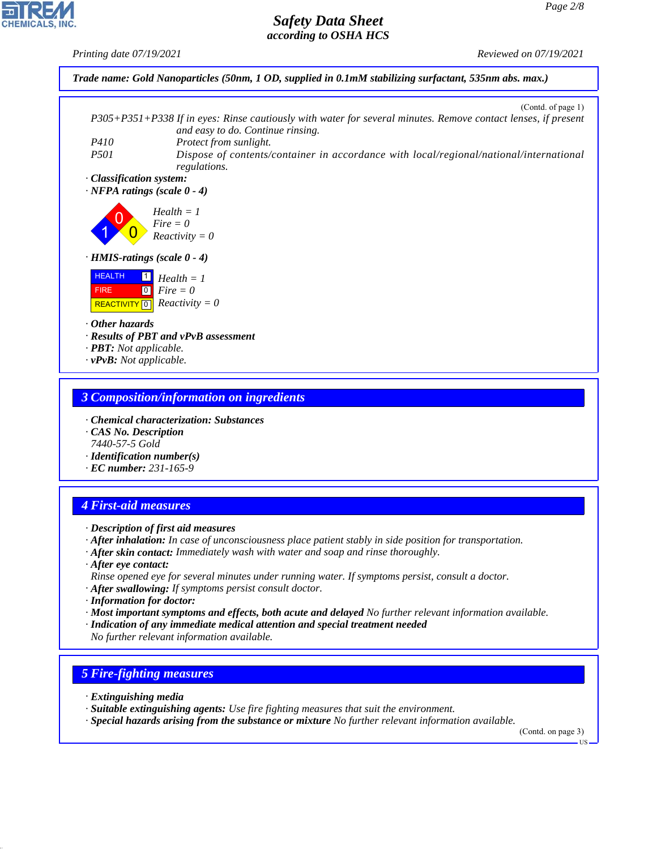*Printing date 07/19/2021 Reviewed on 07/19/2021*



*· vPvB: Not applicable.*

#### *3 Composition/information on ingredients*

- *· Chemical characterization: Substances*
- *· CAS No. Description 7440-57-5 Gold*
- *· Identification number(s)*
- *· EC number: 231-165-9*

# *4 First-aid measures*

- *· Description of first aid measures*
- *· After inhalation: In case of unconsciousness place patient stably in side position for transportation.*
- *· After skin contact: Immediately wash with water and soap and rinse thoroughly.*
- *· After eye contact: Rinse opened eye for several minutes under running water. If symptoms persist, consult a doctor.*
- *· After swallowing: If symptoms persist consult doctor.*
- *· Information for doctor:*
- *· Most important symptoms and effects, both acute and delayed No further relevant information available.*
- *· Indication of any immediate medical attention and special treatment needed No further relevant information available.*

## *5 Fire-fighting measures*

*· Extinguishing media*

44.1.1

- *· Suitable extinguishing agents: Use fire fighting measures that suit the environment.*
- *· Special hazards arising from the substance or mixture No further relevant information available.*

(Contd. on page 3)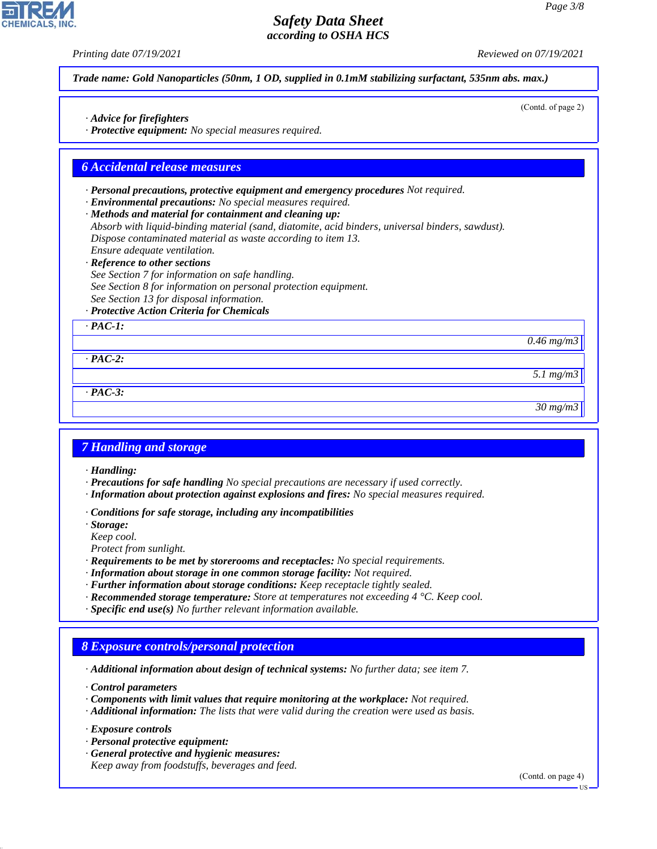(Contd. of page 2)

## *Safety Data Sheet according to OSHA HCS*

*Printing date 07/19/2021 Reviewed on 07/19/2021*

*Trade name: Gold Nanoparticles (50nm, 1 OD, supplied in 0.1mM stabilizing surfactant, 535nm abs. max.)*

- *· Advice for firefighters*
- *· Protective equipment: No special measures required.*

#### *6 Accidental release measures*

- *· Personal precautions, protective equipment and emergency procedures Not required.*
- *· Environmental precautions: No special measures required.*
- *· Methods and material for containment and cleaning up:*
- *Absorb with liquid-binding material (sand, diatomite, acid binders, universal binders, sawdust). Dispose contaminated material as waste according to item 13. Ensure adequate ventilation.*
- *· Reference to other sections*
- *See Section 7 for information on safe handling. See Section 8 for information on personal protection equipment. See Section 13 for disposal information.*
- *· Protective Action Criteria for Chemicals*

*· PAC-1:*

*0.46 mg/m3*

*· PAC-2:*

*· PAC-3:*

*30 mg/m3*

*5.1 mg/m3*

#### *7 Handling and storage*

*· Handling:*

- *· Precautions for safe handling No special precautions are necessary if used correctly.*
- *· Information about protection against explosions and fires: No special measures required.*
- *· Conditions for safe storage, including any incompatibilities*
- *· Storage:*
- *Keep cool.*
- *Protect from sunlight.*
- *· Requirements to be met by storerooms and receptacles: No special requirements.*
- *· Information about storage in one common storage facility: Not required.*
- *· Further information about storage conditions: Keep receptacle tightly sealed.*
- *· Recommended storage temperature: Store at temperatures not exceeding 4 °C. Keep cool.*
- *· Specific end use(s) No further relevant information available.*

#### *8 Exposure controls/personal protection*

*· Additional information about design of technical systems: No further data; see item 7.*

*· Control parameters*

- *· Components with limit values that require monitoring at the workplace: Not required.*
- *· Additional information: The lists that were valid during the creation were used as basis.*

*· Exposure controls*

44.1.1

- *· Personal protective equipment:*
- *· General protective and hygienic measures: Keep away from foodstuffs, beverages and feed.*

(Contd. on page 4)

US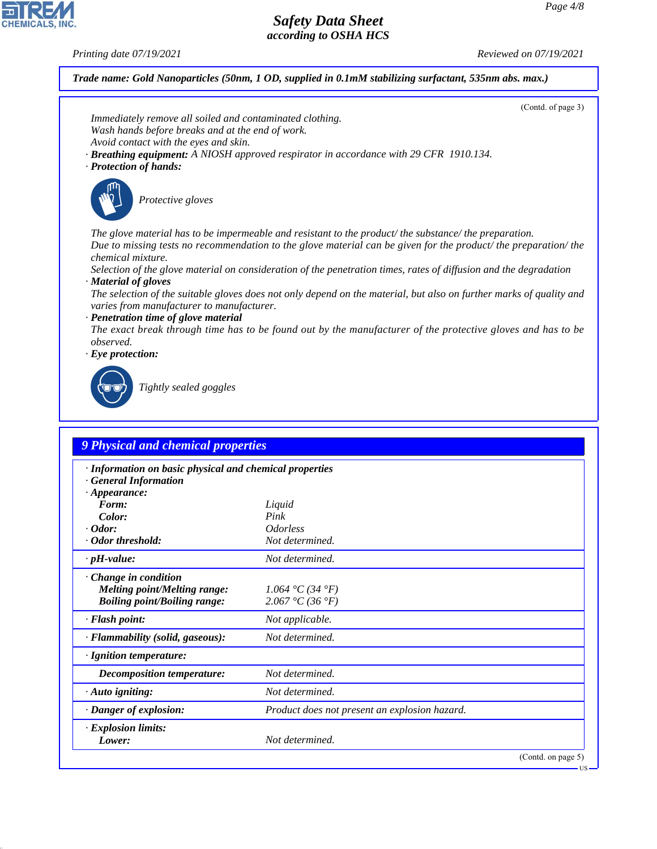*Printing date 07/19/2021 Reviewed on 07/19/2021*

*Trade name: Gold Nanoparticles (50nm, 1 OD, supplied in 0.1mM stabilizing surfactant, 535nm abs. max.)*

|                                                                                                              | (Contd. of page 3)                                                                                                  |
|--------------------------------------------------------------------------------------------------------------|---------------------------------------------------------------------------------------------------------------------|
| Immediately remove all soiled and contaminated clothing.<br>Wash hands before breaks and at the end of work. |                                                                                                                     |
| Avoid contact with the eyes and skin.                                                                        |                                                                                                                     |
|                                                                                                              | <b>Breathing equipment:</b> A NIOSH approved respirator in accordance with 29 CFR 1910.134.                         |
| · Protection of hands:                                                                                       |                                                                                                                     |
|                                                                                                              |                                                                                                                     |
| Protective gloves                                                                                            |                                                                                                                     |
|                                                                                                              |                                                                                                                     |
|                                                                                                              | The glove material has to be impermeable and resistant to the product/the substance/the preparation.                |
|                                                                                                              | Due to missing tests no recommendation to the glove material can be given for the product/ the preparation/ the     |
| chemical mixture.                                                                                            |                                                                                                                     |
|                                                                                                              | Selection of the glove material on consideration of the penetration times, rates of diffusion and the degradation   |
| · Material of gloves                                                                                         | The selection of the suitable gloves does not only depend on the material, but also on further marks of quality and |
| varies from manufacturer to manufacturer.                                                                    |                                                                                                                     |
| · Penetration time of glove material                                                                         |                                                                                                                     |
|                                                                                                              | The exact break through time has to be found out by the manufacturer of the protective gloves and has to be         |
| observed.<br>$\cdot$ Eye protection:                                                                         |                                                                                                                     |
|                                                                                                              |                                                                                                                     |
|                                                                                                              |                                                                                                                     |
| Tightly sealed goggles                                                                                       |                                                                                                                     |
|                                                                                                              |                                                                                                                     |
|                                                                                                              |                                                                                                                     |
| <b>9 Physical and chemical properties</b>                                                                    |                                                                                                                     |
|                                                                                                              |                                                                                                                     |
| · Information on basic physical and chemical properties<br><b>General Information</b>                        |                                                                                                                     |
| $\cdot$ Appearance:                                                                                          |                                                                                                                     |
| Form:                                                                                                        | Liquid                                                                                                              |
| Color:<br>$\cdot$ Odor:                                                                                      | Pink                                                                                                                |
| · Odor threshold:                                                                                            | <b>Odorless</b><br>Not determined.                                                                                  |
|                                                                                                              |                                                                                                                     |
| $\cdot$ pH-value:                                                                                            | Not determined.                                                                                                     |
| · Change in condition                                                                                        |                                                                                                                     |
| <b>Melting point/Melting range:</b>                                                                          |                                                                                                                     |
|                                                                                                              | 1.064 °C (34 °F)                                                                                                    |
| <b>Boiling point/Boiling range:</b>                                                                          | 2.067 °C (36 °F)                                                                                                    |
| · Flash point:                                                                                               | Not applicable.                                                                                                     |
| · Flammability (solid, gaseous):                                                                             | Not determined.                                                                                                     |
| · Ignition temperature:                                                                                      |                                                                                                                     |
| <b>Decomposition temperature:</b>                                                                            | Not determined.                                                                                                     |
| · Auto igniting:                                                                                             | Not determined.                                                                                                     |
| · Danger of explosion:                                                                                       | Product does not present an explosion hazard.                                                                       |
| · Explosion limits:                                                                                          |                                                                                                                     |
| Lower:                                                                                                       | Not determined.                                                                                                     |
|                                                                                                              | (Contd. on page 5)                                                                                                  |



44.1.1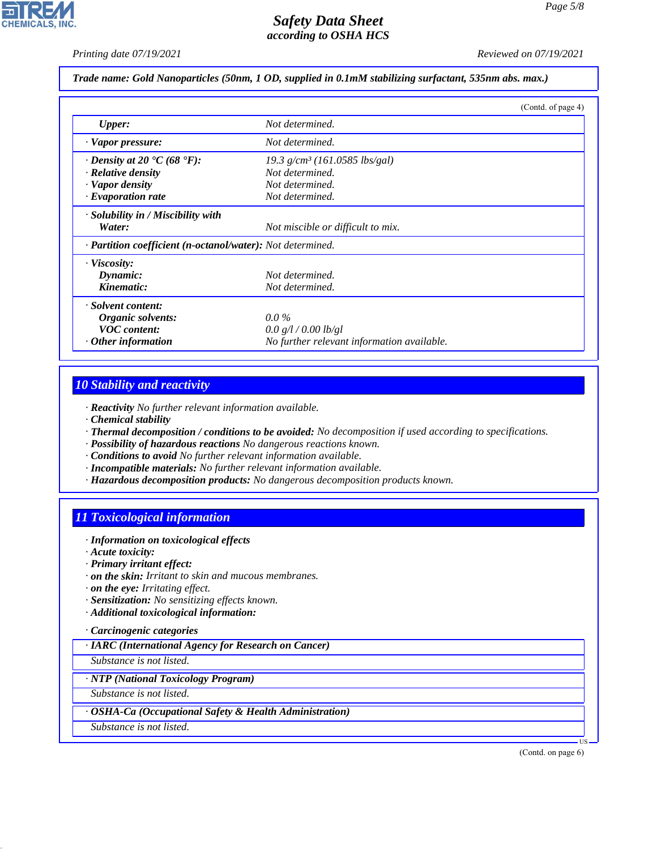*Printing date 07/19/2021 Reviewed on 07/19/2021*

*Trade name: Gold Nanoparticles (50nm, 1 OD, supplied in 0.1mM stabilizing surfactant, 535nm abs. max.)*

|                                                            |                                             | (Contd. of page 4) |
|------------------------------------------------------------|---------------------------------------------|--------------------|
| <b>Upper:</b>                                              | Not determined.                             |                    |
| · Vapor pressure:                                          | Not determined.                             |                    |
| $\cdot$ Density at 20 $\cdot$ C (68 $\cdot$ F):            | $19.3$ g/cm <sup>3</sup> (161.0585 lbs/gal) |                    |
| $\cdot$ Relative density                                   | Not determined.                             |                    |
| · Vapor density                                            | Not determined.                             |                    |
| $\cdot$ Evaporation rate                                   | Not determined.                             |                    |
| · Solubility in / Miscibility with                         |                                             |                    |
| Water:                                                     | Not miscible or difficult to mix.           |                    |
| · Partition coefficient (n-octanol/water): Not determined. |                                             |                    |
| $\cdot$ Viscosity:                                         |                                             |                    |
| Dynamic:                                                   | Not determined.                             |                    |
| Kinematic:                                                 | Not determined.                             |                    |
| · Solvent content:                                         |                                             |                    |
| Organic solvents:                                          | $0.0\%$                                     |                    |
| <b>VOC</b> content:                                        | 0.0 g/l / 0.00 lb/gl                        |                    |
| $\cdot$ Other information                                  | No further relevant information available.  |                    |

## *10 Stability and reactivity*

*· Reactivity No further relevant information available.*

- *· Chemical stability*
- *· Thermal decomposition / conditions to be avoided: No decomposition if used according to specifications.*
- *· Possibility of hazardous reactions No dangerous reactions known.*
- *· Conditions to avoid No further relevant information available.*
- *· Incompatible materials: No further relevant information available.*
- *· Hazardous decomposition products: No dangerous decomposition products known.*

# *11 Toxicological information*

- *· Information on toxicological effects*
- *· Acute toxicity:*
- *· Primary irritant effect:*
- *· on the skin: Irritant to skin and mucous membranes.*
- *· on the eye: Irritating effect.*
- *· Sensitization: No sensitizing effects known.*
- *· Additional toxicological information:*

## *· Carcinogenic categories*

*· IARC (International Agency for Research on Cancer)*

*Substance is not listed.*

#### *· NTP (National Toxicology Program)*

*Substance is not listed.*

#### *· OSHA-Ca (Occupational Safety & Health Administration)*

*Substance is not listed.*

44.1.1

(Contd. on page 6)

US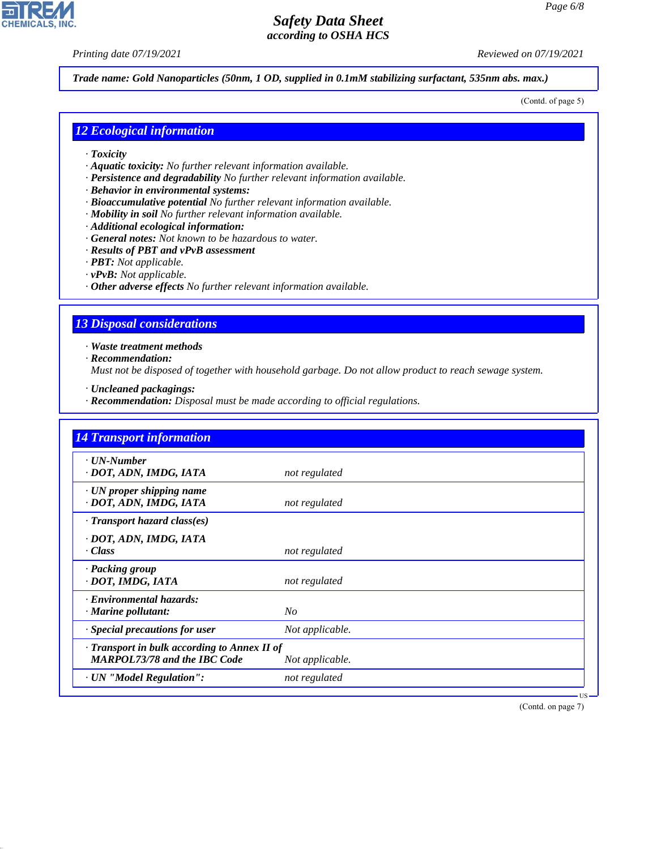*Printing date 07/19/2021 Reviewed on 07/19/2021*

**CHEMICALS, INC** 

*Trade name: Gold Nanoparticles (50nm, 1 OD, supplied in 0.1mM stabilizing surfactant, 535nm abs. max.)*

(Contd. of page 5)

#### *12 Ecological information*

- *· Toxicity*
- *· Aquatic toxicity: No further relevant information available.*
- *· Persistence and degradability No further relevant information available.*
- *· Behavior in environmental systems:*
- *· Bioaccumulative potential No further relevant information available.*
- *· Mobility in soil No further relevant information available.*
- *· Additional ecological information:*
- *· General notes: Not known to be hazardous to water.*
- *· Results of PBT and vPvB assessment*
- *· PBT: Not applicable.*
- *· vPvB: Not applicable.*
- *· Other adverse effects No further relevant information available.*

#### *13 Disposal considerations*

*· Waste treatment methods*

*· Recommendation:*

44.1.1

*Must not be disposed of together with household garbage. Do not allow product to reach sewage system.*

- *· Uncleaned packagings:*
- *· Recommendation: Disposal must be made according to official regulations.*

| <b>14 Transport information</b>                                                           |                 |
|-------------------------------------------------------------------------------------------|-----------------|
| $\cdot$ UN-Number<br>· DOT, ADN, IMDG, IATA                                               | not regulated   |
| $\cdot$ UN proper shipping name<br>· DOT, ADN, IMDG, IATA                                 | not regulated   |
| $\cdot$ Transport hazard class(es)                                                        |                 |
| · DOT, ADN, IMDG, IATA<br>$\cdot Class$                                                   | not regulated   |
| · Packing group<br>· DOT, IMDG, IATA                                                      | not regulated   |
| · Environmental hazards:<br>$\cdot$ Marine pollutant:                                     | No              |
| $\cdot$ Special precautions for user                                                      | Not applicable. |
| $\cdot$ Transport in bulk according to Annex II of<br><b>MARPOL73/78 and the IBC Code</b> | Not applicable. |
| · UN "Model Regulation":                                                                  | not regulated   |

(Contd. on page 7)

US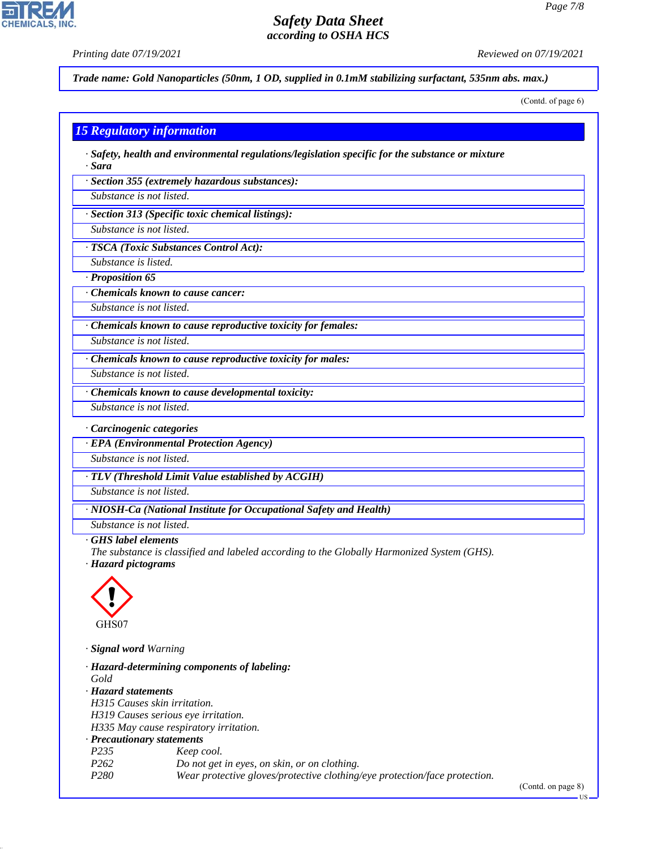*Printing date 07/19/2021 Reviewed on 07/19/2021*

**CHEMICALS, INC** 

*Trade name: Gold Nanoparticles (50nm, 1 OD, supplied in 0.1mM stabilizing surfactant, 535nm abs. max.)*

(Contd. of page 6)

#### *15 Regulatory information*

*· Safety, health and environmental regulations/legislation specific for the substance or mixture · Sara*

*· Section 355 (extremely hazardous substances):*

*Substance is not listed.*

*· Section 313 (Specific toxic chemical listings):*

*Substance is not listed.*

*· TSCA (Toxic Substances Control Act):*

*Substance is listed.*

*· Proposition 65*

*· Chemicals known to cause cancer:*

*Substance is not listed.*

*· Chemicals known to cause reproductive toxicity for females:*

*Substance is not listed.*

*· Chemicals known to cause reproductive toxicity for males:*

*Substance is not listed.*

*· Chemicals known to cause developmental toxicity:*

*Substance is not listed.*

*· Carcinogenic categories*

*· EPA (Environmental Protection Agency)*

*Substance is not listed.*

*· TLV (Threshold Limit Value established by ACGIH)*

*Substance is not listed.*

*· NIOSH-Ca (National Institute for Occupational Safety and Health)*

*Substance is not listed.*

*· GHS label elements*

*The substance is classified and labeled according to the Globally Harmonized System (GHS). · Hazard pictograms*



44.1.1

*· Signal word Warning*

|                                     | · Hazard-determining components of labeling:                               |
|-------------------------------------|----------------------------------------------------------------------------|
| Gold                                |                                                                            |
| · Hazard statements                 |                                                                            |
| H315 Causes skin irritation.        |                                                                            |
| H319 Causes serious eye irritation. |                                                                            |
|                                     | H335 May cause respiratory irritation.                                     |
| · Precautionary statements          |                                                                            |
| P <sub>235</sub>                    | Keep cool.                                                                 |
| P <sub>262</sub>                    | Do not get in eyes, on skin, or on clothing.                               |
| P280                                | Wear protective gloves/protective clothing/eye protection/face protection. |

(Contd. on page 8)

US